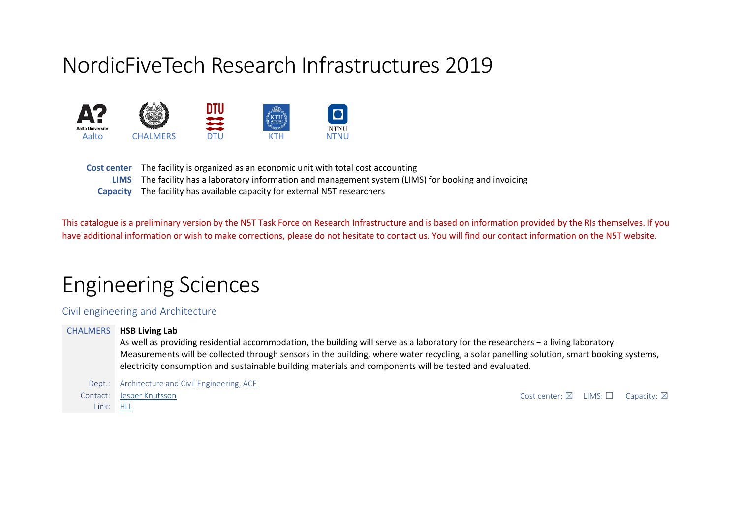# NordicFiveTech Research Infrastructures 2019



**Cost center** The facility is organized as an economic unit with total cost accounting **LIMS** The facility has a laboratory information and management system (LIMS) for booking and invoicing **Capacity** The facility has available capacity for external N5T researchers

This catalogue is a preliminary version by the N5T Task Force on Research Infrastructure and is based on information provided by the RIs themselves. If you have additional information or wish to make corrections, please do not hesitate to contact us. You will find our contact information on the N5T website.

# Engineering Sciences

# Civil engineering and Architecture

CHALMERS **HSB Living Lab** As well as providing residential accommodation, the building will serve as a laboratory for the researchers − a living laboratory. Measurements will be collected through sensors in the building, where water recycling, a solar panelling solution, smart booking systems, electricity consumption and sustainable building materials and components will be tested and evaluated.

Dept.: Architecture and Civil Engineering, ACE Contact: [Jesper Knutsson](https://www.chalmers.se/en/Staff/Pages/jesper-knutsson.aspx) Cost center: ⊠ LIMS: □ Capacity: ⊠ Link: [HLL](https://hll.livinglab.chalmers.se/?lang=en/en)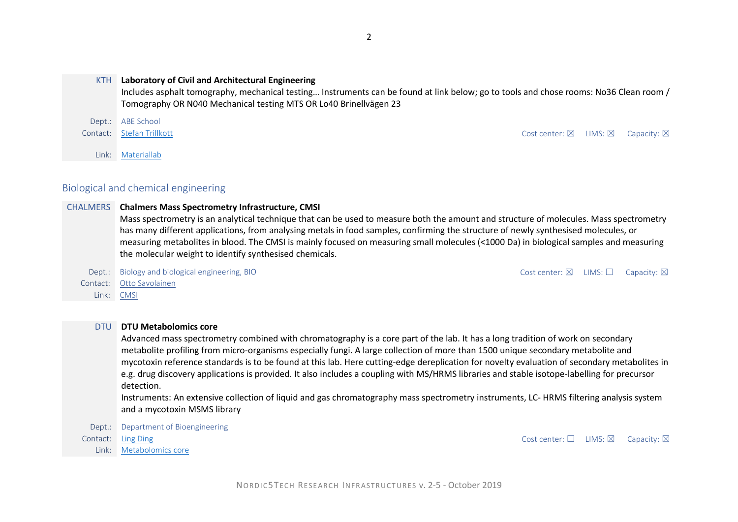#### KTH **Laboratory of Civil and Architectural Engineering**

Includes asphalt tomography, mechanical testing… Instruments can be found at link below; go to tools and chose rooms: No36 Clean room / Tomography OR N040 Mechanical testing MTS OR Lo40 Brinellvägen 23

# Dept.: ABE School Contact: [Stefan Trillkott](mailto:stetri@kth.se) Contact: Stefan Trillkott Cost center: ⊠ LIMS: ⊠ Capacity: ⊠

Link: [Materiallab](http://lims.materiallab.kth.se/Default.aspx)

# Biological and chemical engineering

#### CHALMERS **Chalmers Mass Spectrometry Infrastructure, CMSI**

Mass spectrometry is an analytical technique that can be used to measure both the amount and structure of molecules. Mass spectrometry has many different applications, from analysing metals in food samples, confirming the structure of newly synthesised molecules, or measuring metabolites in blood. The CMSI is mainly focused on measuring small molecules (<1000 Da) in biological samples and measuring the molecular weight to identify synthesised chemicals.

Dept.: Biology and biological engineering, BIO Cost center: ⊠ LIMS: □ Capacity: ⊠ Contact: [Otto Savolainen](https://www.chalmers.se/en/researchinfrastructure/CMSI/Pages/default.aspx) Link: [CMSI](https://www.chalmers.se/en/researchinfrastructure/CMSI/Pages/default.aspx)

#### DTU **DTU Metabolomics core**

Advanced mass spectrometry combined with chromatography is a core part of the lab. It has a long tradition of work on secondary metabolite profiling from micro-organisms especially fungi. A large collection of more than 1500 unique secondary metabolite and mycotoxin reference standards is to be found at this lab. Here cutting-edge dereplication for novelty evaluation of secondary metabolites in e.g. drug discovery applications is provided. It also includes a coupling with MS/HRMS libraries and stable isotope-labelling for precursor detection.

Instruments: An extensive collection of liquid and gas chromatography mass spectrometry instruments, LC- HRMS filtering analysis system and a mycotoxin MSMS library

Dept.: Department of Bioengineering

Link: [Metabolomics core](https://www.bioengineering.dtu.dk/english/researchny/cores/metabolom)

Contact: [Ling Ding](mailto:lidi@dtu.dk) Cost center: □ LIMS: ⊠ Capacity: ⊠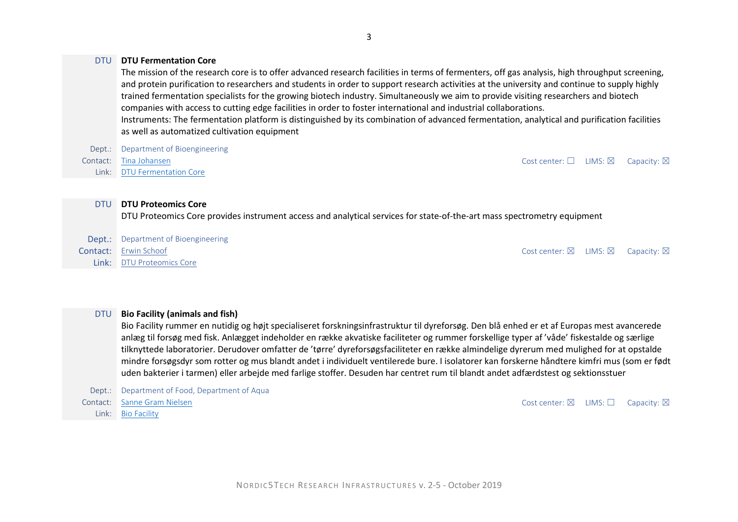#### DTU **DTU Fermentation Core**

The mission of the research core is to offer advanced research facilities in terms of fermenters, off gas analysis, high throughput screening, and protein purification to researchers and students in order to support research activities at the university and continue to supply highly trained fermentation specialists for the growing biotech industry. Simultaneously we aim to provide visiting researchers and biotech companies with access to cutting edge facilities in order to foster international and industrial collaborations. Instruments: The fermentation platform is distinguished by its combination of advanced fermentation, analytical and purification facilities as well as automatized cultivation equipment

Dept.: Department of Bioengineering Contact: [Tina Johansen](mailto:tj@bio.dtu.dk) Cost center: □ LIMS: ⊠ Capacity: ⊠ Link: [DTU Fermentation Core](https://www.bioengineering.dtu.dk/english/researchny/cores/fermentation)

#### DTU **DTU Proteomics Core**

DTU Proteomics Core provides instrument access and analytical services for state-of-the-art mass spectrometry equipment

| Dept.: Department of Bioengineering |                                                                  |  |
|-------------------------------------|------------------------------------------------------------------|--|
| <b>Contact:</b> Erwin Schoof        | Cost center: $\boxtimes$ LIMS: $\boxtimes$ Capacity: $\boxtimes$ |  |
| <b>Link:</b> DTU Proteomics Core    |                                                                  |  |

#### DTU **Bio Facility (animals and fish)**

Bio Facility rummer en nutidig og højt specialiseret forskningsinfrastruktur til dyreforsøg. Den blå enhed er et af Europas mest avancerede anlæg til forsøg med fisk. Anlægget indeholder en række akvatiske faciliteter og rummer forskellige typer af 'våde' fiskestalde og særlige tilknyttede laboratorier. Derudover omfatter de 'tørre' dyreforsøgsfaciliteter en række almindelige dyrerum med mulighed for at opstalde mindre forsøgsdyr som rotter og mus blandt andet i individuelt ventilerede bure. I isolatorer kan forskerne håndtere kimfri mus (som er født uden bakterier i tarmen) eller arbejde med farlige stoffer. Desuden har centret rum til blandt andet adfærdstest og sektionsstuer

Dept.: Department of Food, Department of Aqua Contact: [Sanne Gram Nielsen](mailto:sagra@dtu.dk) Contact: Sanne Gram Nielsen Cost center: ⊠ LIMS: □ Capacity: ⊠ Link: [Bio Facility](https://www.food.dtu.dk/nyheder/nyhed?id=cfc130ef-312f-4c2a-a2ad-24a22c0bc29a)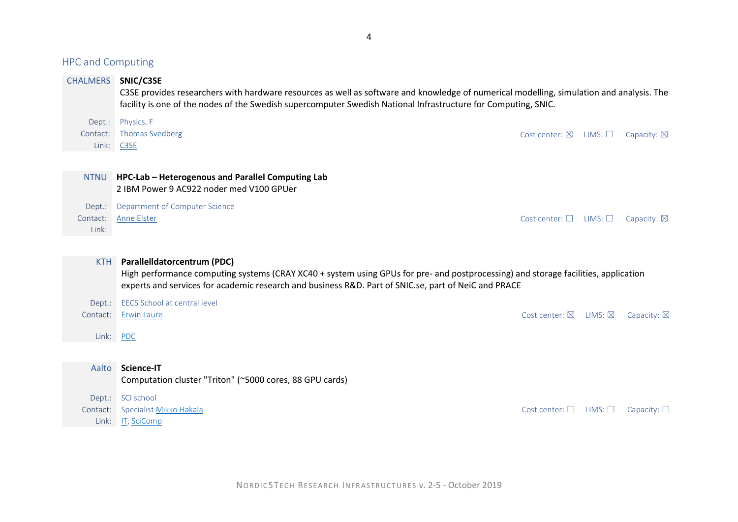| <b>HPC and Computing</b>    |                                                                                                                                                                                                                                                                           |                                        |                   |                       |
|-----------------------------|---------------------------------------------------------------------------------------------------------------------------------------------------------------------------------------------------------------------------------------------------------------------------|----------------------------------------|-------------------|-----------------------|
| <b>CHALMERS</b>             | SNIC/C3SE<br>C3SE provides researchers with hardware resources as well as software and knowledge of numerical modelling, simulation and analysis. The<br>facility is one of the nodes of the Swedish supercomputer Swedish National Infrastructure for Computing, SNIC.   |                                        |                   |                       |
| Dept.:<br>Contact:<br>Link: | Physics, F<br><b>Thomas Svedberg</b><br>C <sub>3</sub> SE                                                                                                                                                                                                                 | Cost center: $\nabla$                  | LIMS: $\square$   | Capacity: $\boxtimes$ |
| <b>NTNU</b>                 | HPC-Lab - Heterogenous and Parallel Computing Lab<br>2 IBM Power 9 AC922 noder med V100 GPUer                                                                                                                                                                             |                                        |                   |                       |
| Dept.:<br>Contact:<br>Link: | Department of Computer Science<br>Anne Elster                                                                                                                                                                                                                             | Cost center: $\square$ LIMS: $\square$ |                   | Capacity: $\boxtimes$ |
| <b>KTH</b>                  | Parallelldatorcentrum (PDC)<br>High performance computing systems (CRAY XC40 + system using GPUs for pre- and postprocessing) and storage facilities, application<br>experts and services for academic research and business R&D. Part of SNIC.se, part of NeiC and PRACE |                                        |                   |                       |
| Dept.:                      | <b>EECS School at central level</b>                                                                                                                                                                                                                                       |                                        |                   |                       |
| Contact:                    | <b>Erwin Laure</b>                                                                                                                                                                                                                                                        | Cost center: $\boxtimes$               | $LIMS: \boxtimes$ | Capacity: $\boxtimes$ |
| Link:                       | <b>PDC</b>                                                                                                                                                                                                                                                                |                                        |                   |                       |
|                             | Science-IT                                                                                                                                                                                                                                                                |                                        |                   |                       |
| Aalto                       | Computation cluster "Triton" (~5000 cores, 88 GPU cards)                                                                                                                                                                                                                  |                                        |                   |                       |
| Dept.:<br>Contact:<br>Link: | SCI school<br>Specialist Mikko Hakala<br>IT, SciComp                                                                                                                                                                                                                      | Cost center: $\square$                 | $LIMS: \Box$      | Capacity: $\square$   |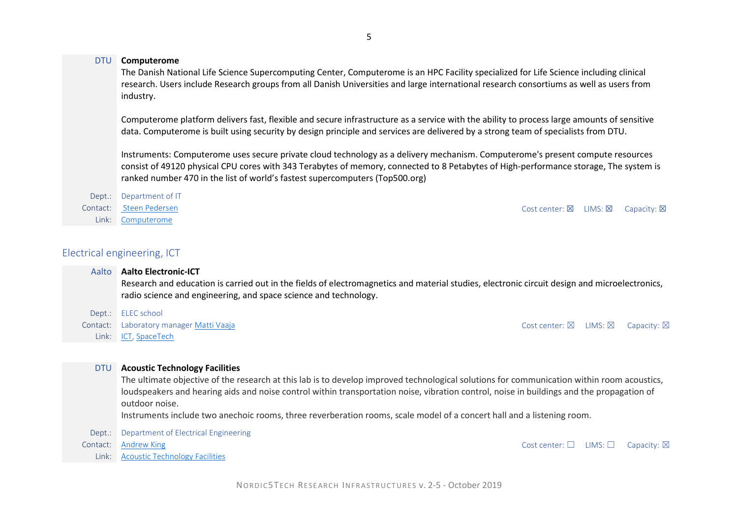#### DTU **Computerome**

The Danish National Life Science Supercomputing Center, Computerome is an HPC Facility specialized for Life Science including clinical research. Users include Research groups from all Danish Universities and large international research consortiums as well as users from industry.

Computerome platform delivers fast, flexible and secure infrastructure as a service with the ability to process large amounts of sensitive data. Computerome is built using security by design principle and services are delivered by a strong team of specialists from DTU.

Instruments: Computerome uses secure private cloud technology as a delivery mechanism. Computerome's present compute resources consist of 49120 physical CPU cores with 343 Terabytes of memory, connected to 8 Petabytes of High-performance storage, The system is ranked number 470 in the list of world's fastest supercomputers [\(Top500.org\)](https://www.top500.org/site/50807)

Dept.: Department of IT Contact: [Steen Pedersen](mailto:sped@dtu.dk) Cost center: 죄 LIMS: Z Capacity: ועבר Cost center: 죄 LIMS: ועבר Cost center: 죄 LIMS: 죄 Link: [Computerome](http://www.computerome.dtu.dk/about)

# Electrical engineering, ICT

| Aalto      | <b>Aalto Electronic-ICT</b><br>Research and education is carried out in the fields of electromagnetics and material studies, electronic circuit design and microelectronics,<br>radio science and engineering, and space science and technology. |                                            |                       |
|------------|--------------------------------------------------------------------------------------------------------------------------------------------------------------------------------------------------------------------------------------------------|--------------------------------------------|-----------------------|
| Dept.:     | ELEC school                                                                                                                                                                                                                                      |                                            |                       |
| Contact:   | Laboratory manager Matti Vaaja                                                                                                                                                                                                                   | Cost center: $\boxtimes$ LIMS: $\boxtimes$ | Capacity: $\boxtimes$ |
| Link:      | ICT, SpaceTech                                                                                                                                                                                                                                   |                                            |                       |
|            |                                                                                                                                                                                                                                                  |                                            |                       |
| <b>DTU</b> | <b>Acoustic Technology Facilities</b>                                                                                                                                                                                                            |                                            |                       |
|            | The ultimate objective of the research at this lab is to develop improved technological solutions for communication within room acoustics,                                                                                                       |                                            |                       |
|            | loudspeakers and hearing aids and noise control within transportation noise, vibration control, noise in buildings and the propagation of                                                                                                        |                                            |                       |
|            | outdoor noise.                                                                                                                                                                                                                                   |                                            |                       |
|            | Instruments include two anechoic rooms, three reverberation rooms, scale model of a concert hall and a listening room.                                                                                                                           |                                            |                       |
| Dept.:     | Department of Electrical Engineering                                                                                                                                                                                                             |                                            |                       |

Contact: [Andrew King](mailto:andrewk@dtu.dk) Cost center: □ LIMS: □ Capacity: ⊠

Link: [Acoustic Technology Facilities](http://www.act.elektro.dtu.dk/research/facilities)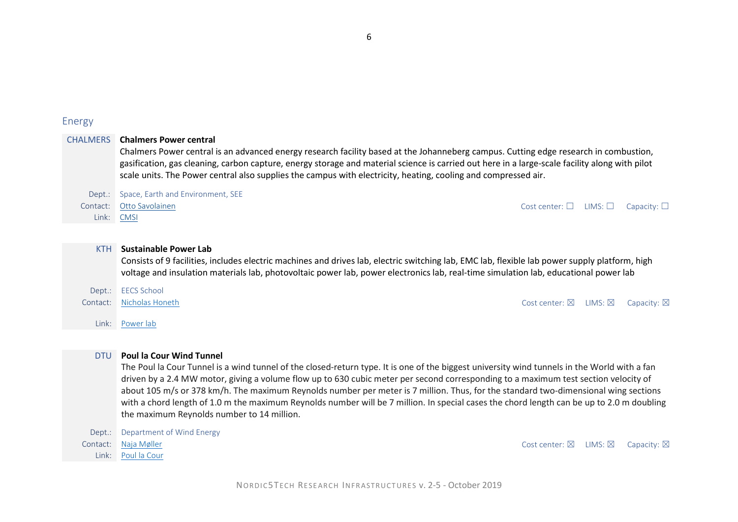## Energy

CHALMERS **Chalmers Power central**

Chalmers Power central is an advanced energy research facility based at the Johanneberg campus. Cutting edge research in combustion, gasification, gas cleaning, carbon capture, energy storage and material science is carried out here in a large-scale facility along with pilot scale units. The Power central also supplies the campus with electricity, heating, cooling and compressed air.

Dept.: Space, Earth and Environment, SEE

Link: [CMSI](https://www.chalmers.se/en/researchinfrastructure/CMSI/Pages/default.aspx)

Contact: [Otto Savolainen](https://www.chalmers.se/en/Staff/Pages/Otto-Savolainen.aspx) Cost center: ☐ LIMS: ☐ Capacity: ☐

#### KTH **Sustainable Power Lab**

Consists of 9 facilities, includes electric machines and drives lab, electric switching lab, EMC lab, flexible lab power supply platform, high voltage and insulation materials lab, photovoltaic power lab, power electronics lab, real-time simulation lab, educational power lab

| Dept.: EECS School       |                                                                  |  |
|--------------------------|------------------------------------------------------------------|--|
| Contact: Nicholas Honeth | Cost center: $\boxtimes$ LIMS: $\boxtimes$ Capacity: $\boxtimes$ |  |

Link: [Power lab](https://www.kth.se/epe/research/labs/the-sustainable-power-laboratory-1.771349)

Link: [Poul la Cour](http://www.plct.dk/about/description)

#### DTU **Poul la Cour Wind Tunnel**

The Poul la Cour Tunnel is a wind tunnel of the closed-return type. It is one of the biggest university wind tunnels in the World with a fan driven by a 2.4 MW motor, giving a volume flow up to 630 cubic meter per second corresponding to a maximum test section velocity of about 105 m/s or 378 km/h. The maximum Reynolds number per meter is 7 million. Thus, for the standard two-dimensional wing sections with a chord length of 1.0 m the maximum Reynolds number will be 7 million. In special cases the chord length can be up to 2.0 m doubling the maximum Reynolds number to 14 million.

Dept.: Department of Wind Energy

Contact: [Naja Møller](mailto:contact@plct.dk) and Southern and Southern and Southern and Cost Center: ⊠ LIMS: ⊠ Capacity: ⊠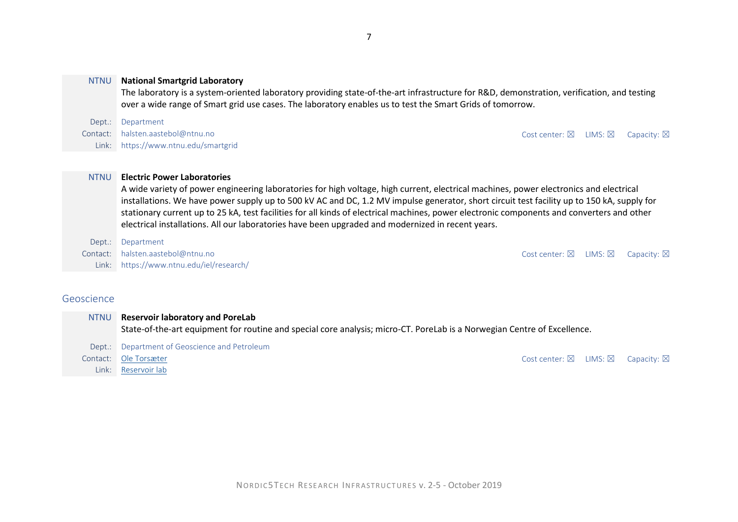#### NTNU **National Smartgrid Laboratory**

The laboratory is a system-oriented laboratory providing state-of-the-art infrastructure for R&D, demonstration, verification, and testing over a wide range of Smart grid use cases. The laboratory enables us to test the Smart Grids of tomorrow.

Dept.: Department Contact: halsten.aastebol@ntnu.no Cost center: ⊠ LIMS: ⊠ Capacity: ⊠ Link: https://www.ntnu.edu/smartgrid

#### NTNU **Electric Power Laboratories**

A wide variety of power engineering laboratories for high voltage, high current, electrical machines, power electronics and electrical installations. We have power supply up to 500 kV AC and DC, 1.2 MV impulse generator, short circuit test facility up to 150 kA, supply for stationary current up to 25 kA, test facilities for all kinds of electrical machines, power electronic components and converters and other electrical installations. All our laboratories have been upgraded and modernized in recent years.

Dept.: Department

Contact: halsten.aastebol@ntnu.no Cost center: ⊠ LIMS: ⊠ Capacity: ⊠ Link: https://www.ntnu.edu/iel/research/

#### Geoscience

| <b>NTNU</b> | <b>Reservoir laboratory and PoreLab</b><br>State-of-the-art equipment for routine and special core analysis; micro-CT. PoreLab is a Norwegian Centre of Excellence. |                                            |                       |
|-------------|---------------------------------------------------------------------------------------------------------------------------------------------------------------------|--------------------------------------------|-----------------------|
|             | Dept.: Department of Geoscience and Petroleum                                                                                                                       |                                            |                       |
|             | Contact: Ole Torsæter                                                                                                                                               | Cost center: $\boxtimes$ LIMS: $\boxtimes$ | Capacity: $\boxtimes$ |
|             | Link: Reservoir lab                                                                                                                                                 |                                            |                       |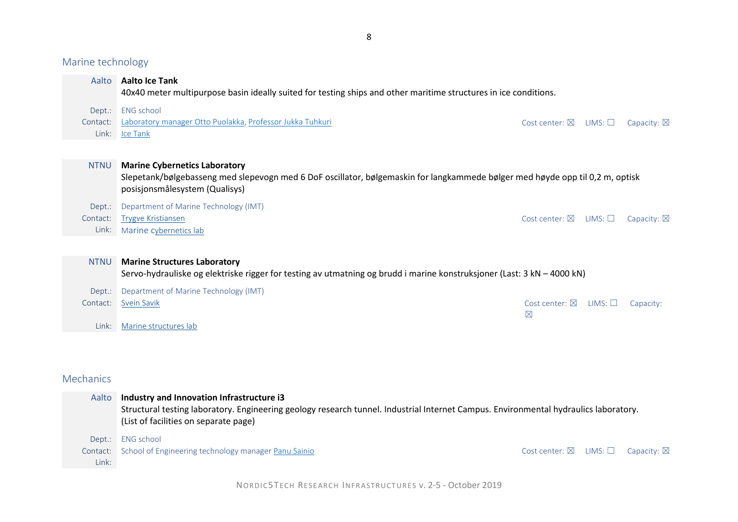Marine technology

| Aalto                       | <b>Aalto Ice Tank</b><br>40x40 meter multipurpose basin ideally suited for testing ships and other maritime structures in ice conditions.                                                               |                                         |                 |                       |
|-----------------------------|---------------------------------------------------------------------------------------------------------------------------------------------------------------------------------------------------------|-----------------------------------------|-----------------|-----------------------|
| Dept.:<br>Contact:<br>Link: | <b>ENG</b> school<br>Laboratory manager Otto Puolakka, Professor Jukka Tuhkuri<br><u>lce Tank</u>                                                                                                       | Cost center: $\boxtimes$                | LIMS: $\square$ | Capacity: $\boxtimes$ |
| <b>NTNU</b>                 | <b>Marine Cybernetics Laboratory</b><br>Slepetank/bølgebasseng med slepevogn med 6 DoF oscillator, bølgemaskin for langkammede bølger med høyde opp til 0,2 m, optisk<br>posisjonsmålesystem (Qualisys) |                                         |                 |                       |
| Dept.:<br>Contact:<br>Link: | Department of Marine Technology (IMT)<br><b>Trygve Kristiansen</b><br>Marine cybernetics lab                                                                                                            | Cost center: $\boxtimes$                | LIMS:           | Capacity: $\boxtimes$ |
| <b>NTNU</b>                 | <b>Marine Structures Laboratory</b><br>Servo-hydrauliske og elektriske rigger for testing av utmatning og brudd i marine konstruksjoner (Last: 3 kN – 4000 kN)                                          |                                         |                 |                       |
| Dept.:<br>Contact:<br>Link: | Department of Marine Technology (IMT)<br>Svein Savik<br>Marine structures lab                                                                                                                           | Cost center: $\boxtimes$<br>$\boxtimes$ | $LIMS: \Box$    | Capacity:             |

# Mechanics

| Aalto | Industry and Innovation Infrastructure i3<br>Structural testing laboratory. Engineering geology research tunnel. Industrial Internet Campus. Environmental hydraulics laboratory.<br>(List of facilities on separate page) |                                                                |  |
|-------|----------------------------------------------------------------------------------------------------------------------------------------------------------------------------------------------------------------------------|----------------------------------------------------------------|--|
|       | Dept.: ENG school                                                                                                                                                                                                          |                                                                |  |
|       | Contact: School of Engineering technology manager Panu Sainio                                                                                                                                                              | Cost center: $\boxtimes$ LIMS: $\square$ Capacity: $\boxtimes$ |  |
| Link: |                                                                                                                                                                                                                            |                                                                |  |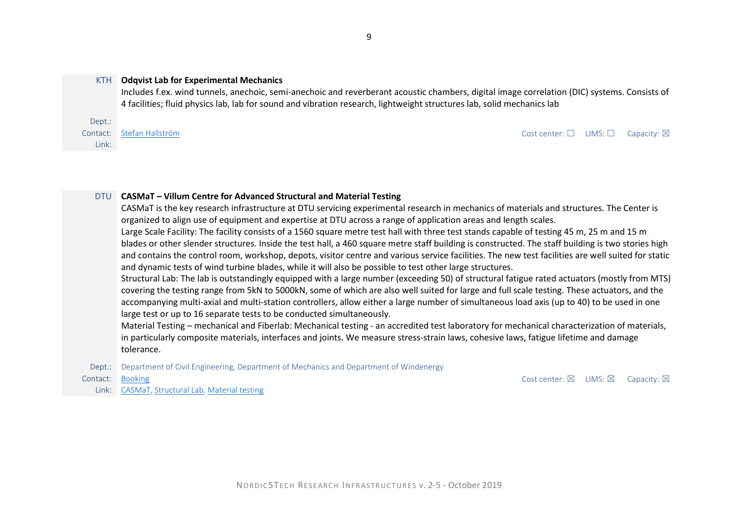#### KTH **Odqvist Lab for Experimental Mechanics**

Includes f.ex. wind tunnels, anechoic, semi-anechoic and reverberant acoustic chambers, digital image correlation (DIC) systems. Consists of 4 facilities; fluid physics lab, lab for sound and vibration research, lightweight structures lab, solid mechanics lab

Dept.: Link:

Contact: [Stefan Hallström](mailto:stefanha@kth.se) Contact: Stefan Hallström Cost center: □ LIMS: □ Capacity: ⊠

#### DTU **CASMaT – Villum Centre for Advanced Structural and Material Testing**

CASMaT is the key research infrastructure at DTU servicing experimental research in mechanics of materials and structures. The Center is organized to align use of equipment and expertise at DTU across a range of application areas and length scales. Large Scale Facility: The facility consists of a 1560 square metre test hall with three test stands capable of testing 45 m, 25 m and 15 m blades or other slender structures. Inside the test hall, a 460 square metre staff building is constructed. The staff building is two stories high and contains the control room, workshop, depots, visitor centre and various service facilities. The new test facilities are well suited for static and dynamic tests of wind turbine blades, while it will also be possible to test other large structures.

Structural Lab: The lab is outstandingly equipped with a large number (exceeding 50) of structural fatigue rated actuators (mostly from MTS) covering the testing range from 5kN to 5000kN, some of which are also well suited for large and full scale testing. These actuators, and the accompanying multi-axial and multi-station controllers, allow either a large number of simultaneous load axis (up to 40) to be used in one large test or up to 16 separate tests to be conducted simultaneously.

Material Testing – mechanical and Fiberlab: Mechanical testing - an accredited test laboratory for mechanical characterization of materials, in particularly composite materials, interfaces and joints. We measure stress-strain laws, cohesive laws, fatigue lifetime and damage tolerance.

Dept.: Department of Civil Engineering, Department of Mechanics and Department of Windenergy

Link: [CASMaT,](http://www.casmat.dtu.dk/) [Structural Lab,](http://www.casmat.dtu.dk/equipment/substructure-and-component-testing) [Material testing](http://www.casmat.dtu.dk/equipment/material-testing)

 $\blacksquare$ Contact: [Booking](http://www.casmat.dtu.dk/equipment) Cost center:  $\boxtimes$  LIMS:  $\boxtimes$  Capacity:  $\boxtimes$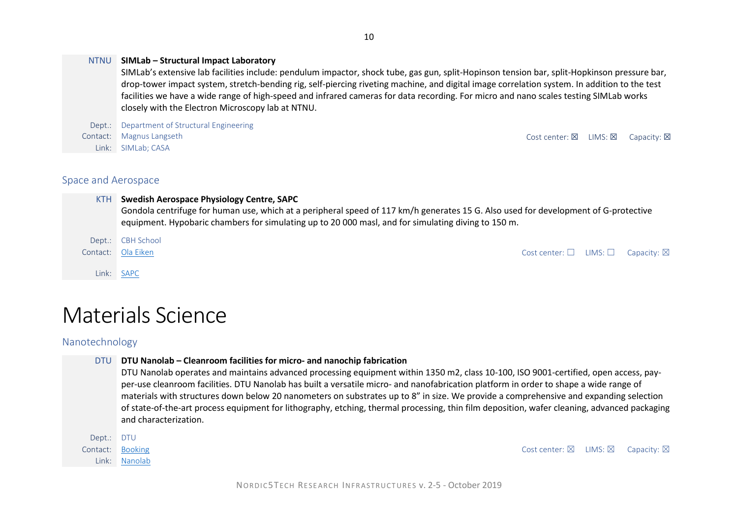#### NTNU **SIMLab – Structural Impact Laboratory**

SIMLab's extensive lab facilities include: pendulum impactor, shock tube, gas gun, split-Hopinson tension bar, split-Hopkinson pressure bar, drop-tower impact system, stretch-bending rig, self-piercing riveting machine, and digital image correlation system. In addition to the test facilities we have a wide range of high-speed and infrared cameras for data recording. For micro and nano scales testing SIMLab works closely with the Electron Microscopy lab at NTNU.

Dept.: Department of Structural Engineering Contact: [Magnus Langseth](mailto:magnus.langseth@ntnu.no) Contact: Magnus Langseth Cost center: 龱 LIMS: 龱 Capacity: 龱 Link: [SIMLab;](http://www.ntnu.edu/simlab) [CASA](http://www.ntnu.edu/casa)

# Space and Aerospace

#### KTH **Swedish Aerospace Physiology Centre, SAPC**

Gondola centrifuge for human use, which at a peripheral speed of 117 km/h generates 15 G. Also used for development of G-protective equipment. Hypobaric chambers for simulating up to 20 000 masl, and for simulating diving to 150 m.

Dept.: CBH School

Link: [SAPC](https://www.kth.se/sapc)

# Materials Science

Nanotechnology

#### DTU **DTU Nanolab – Cleanroom facilities for micro- and nanochip fabrication**

DTU Nanolab operates and maintains advanced processing equipment within 1350 m2, class 10-100, ISO 9001-certified, open access, payper-use cleanroom facilities. DTU Nanolab has built a versatile micro- and nanofabrication platform in order to shape a wide range of materials with structures down below 20 nanometers on substrates up to 8" in size. We provide a comprehensive and expanding selection of state-of-the-art process equipment for lithography, etching, thermal processing, thin film deposition, wafer cleaning, advanced packaging and characterization.

| Dept.: DTU |                  |                                                                  |  |
|------------|------------------|------------------------------------------------------------------|--|
|            | Contact: Booking | Cost center: $\boxtimes$ LIMS: $\boxtimes$ Capacity: $\boxtimes$ |  |
|            | Link: Nanolab    |                                                                  |  |

Contact: [Ola Eiken](mailto:eiken@kth.se) Cost center: □ LIMS: □ Capacity: ⊠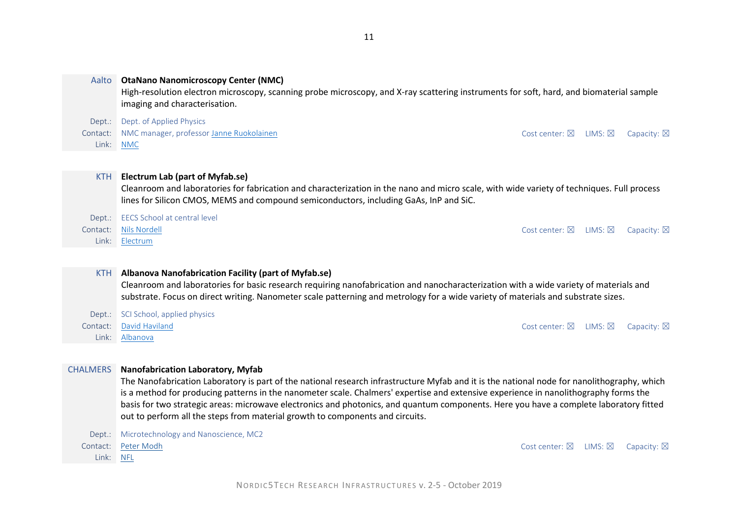| Aalto                | <b>OtaNano Nanomicroscopy Center (NMC)</b><br>High-resolution electron microscopy, scanning probe microscopy, and X-ray scattering instruments for soft, hard, and biomaterial sample<br>imaging and characterisation.                                                                                                                                                                                                                                                                                                                                     |  |  |  |  |  |
|----------------------|------------------------------------------------------------------------------------------------------------------------------------------------------------------------------------------------------------------------------------------------------------------------------------------------------------------------------------------------------------------------------------------------------------------------------------------------------------------------------------------------------------------------------------------------------------|--|--|--|--|--|
| Dept.:               | Dept. of Applied Physics                                                                                                                                                                                                                                                                                                                                                                                                                                                                                                                                   |  |  |  |  |  |
| Contact:             | NMC manager, professor Janne Ruokolainen<br>Cost center: $\boxtimes$<br>LIMS: $\boxtimes$<br>Capacity: $\boxtimes$                                                                                                                                                                                                                                                                                                                                                                                                                                         |  |  |  |  |  |
| Link:                | <b>NMC</b>                                                                                                                                                                                                                                                                                                                                                                                                                                                                                                                                                 |  |  |  |  |  |
|                      |                                                                                                                                                                                                                                                                                                                                                                                                                                                                                                                                                            |  |  |  |  |  |
| <b>KTH</b>           | <b>Electrum Lab (part of Myfab.se)</b><br>Cleanroom and laboratories for fabrication and characterization in the nano and micro scale, with wide variety of techniques. Full process<br>lines for Silicon CMOS, MEMS and compound semiconductors, including GaAs, InP and SiC.                                                                                                                                                                                                                                                                             |  |  |  |  |  |
| Dept.:               | EECS School at central level                                                                                                                                                                                                                                                                                                                                                                                                                                                                                                                               |  |  |  |  |  |
| Contact:             | <b>Nils Nordell</b><br>Cost center: $\boxtimes$ LIMS: $\boxtimes$<br>Capacity: $\boxtimes$                                                                                                                                                                                                                                                                                                                                                                                                                                                                 |  |  |  |  |  |
| Link:                | Electrum                                                                                                                                                                                                                                                                                                                                                                                                                                                                                                                                                   |  |  |  |  |  |
| <b>KTH</b><br>Dept.: | Albanova Nanofabrication Facility (part of Myfab.se)<br>Cleanroom and laboratories for basic research requiring nanofabrication and nanocharacterization with a wide variety of materials and<br>substrate. Focus on direct writing. Nanometer scale patterning and metrology for a wide variety of materials and substrate sizes.<br>SCI School, applied physics                                                                                                                                                                                          |  |  |  |  |  |
| Contact:             | David Haviland<br>Cost center: $\boxtimes$<br>$LIMS: \boxtimesCapacity: \boxtimes$                                                                                                                                                                                                                                                                                                                                                                                                                                                                         |  |  |  |  |  |
| Link:                | Albanova                                                                                                                                                                                                                                                                                                                                                                                                                                                                                                                                                   |  |  |  |  |  |
|                      |                                                                                                                                                                                                                                                                                                                                                                                                                                                                                                                                                            |  |  |  |  |  |
| <b>CHALMERS</b>      | <b>Nanofabrication Laboratory, Myfab</b><br>The Nanofabrication Laboratory is part of the national research infrastructure Myfab and it is the national node for nanolithography, which<br>is a method for producing patterns in the nanometer scale. Chalmers' expertise and extensive experience in nanolithography forms the<br>basis for two strategic areas: microwave electronics and photonics, and quantum components. Here you have a complete laboratory fitted<br>out to perform all the steps from material growth to components and circuits. |  |  |  |  |  |
| Dept.:               | Microtechnology and Nanoscience, MC2                                                                                                                                                                                                                                                                                                                                                                                                                                                                                                                       |  |  |  |  |  |
| Contact:             | Peter Modh<br>Cost center: $\boxtimes$<br>LIMS: $\boxtimes$<br>Capacity: $\boxtimes$                                                                                                                                                                                                                                                                                                                                                                                                                                                                       |  |  |  |  |  |
| Link:                | <b>NFL</b>                                                                                                                                                                                                                                                                                                                                                                                                                                                                                                                                                 |  |  |  |  |  |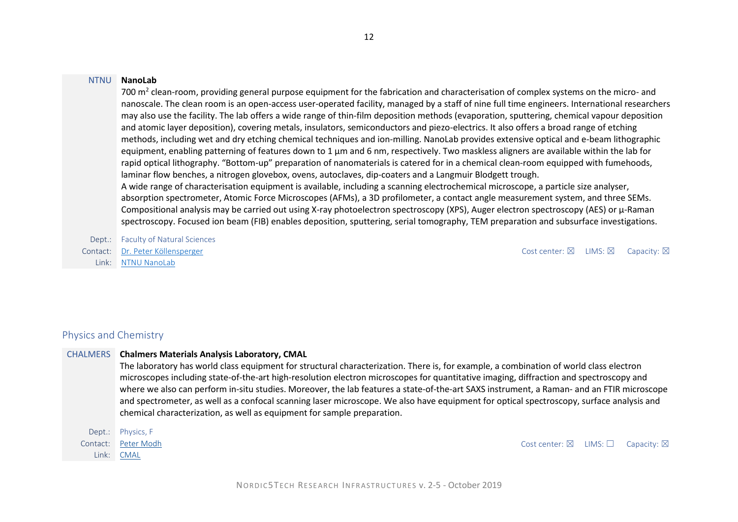#### NTNU **NanoLab**

700 m<sup>2</sup> clean-room, providing general purpose equipment for the fabrication and characterisation of complex systems on the micro- and nanoscale. The clean room is an open-access user-operated facility, managed by a staff of nine full time engineers. International researchers may also use the facility. The lab offers a wide range of thin-film deposition methods (evaporation, sputtering, chemical vapour deposition and atomic layer deposition), covering metals, insulators, semiconductors and piezo-electrics. It also offers a broad range of etching methods, including wet and dry etching chemical techniques and ion-milling. NanoLab provides extensive optical and e-beam lithographic equipment, enabling patterning of features down to 1 µm and 6 nm, respectively. Two maskless aligners are available within the lab for rapid optical lithography. "Bottom-up" preparation of nanomaterials is catered for in a chemical clean-room equipped with fumehoods, laminar flow benches, a nitrogen glovebox, ovens, autoclaves, dip-coaters and a Langmuir Blodgett trough. A wide range of characterisation equipment is available, including a scanning electrochemical microscope, a particle size analyser, absorption spectrometer, Atomic Force Microscopes (AFMs), a 3D profilometer, a contact angle measurement system, and three SEMs. Compositional analysis may be carried out using X-ray photoelectron spectroscopy (XPS), Auger electron spectroscopy (AES) or  $\mu$ -Raman spectroscopy. Focused ion beam (FIB) enables deposition, sputtering, serial tomography, TEM preparation and subsurface investigations.

Dept.: Faculty of Natural Sciences Contact: [Dr. Peter Köllensperger](https://innsida.ntnu.no/person/peterko) Cost center: ⊠ LIMS: ⊠ Capacity: ⊠ Link: [NTNU NanoLab](https://www.ntnu.edu/nano/infrastructure)

# Physics and Chemistry

#### CHALMERS **Chalmers Materials Analysis Laboratory, CMAL**

The laboratory has world class equipment for structural characterization. There is, for example, a combination of world class electron microscopes including state-of-the-art high-resolution electron microscopes for quantitative imaging, diffraction and spectroscopy and where we also can perform in-situ studies. Moreover, the lab features a state-of-the-art SAXS instrument, a Raman- and an FTIR microscope and spectrometer, as well as a confocal scanning laser microscope. We also have equipment for optical spectroscopy, surface analysis and chemical characterization, as well as equipment for sample preparation.

| Dept.:   | Physics, F  |
|----------|-------------|
| Contact: | Peter Modh  |
| Link:    | <b>CMAL</b> |

Cost center:  $\boxtimes$  LIMS:  $\Box$  Capacity:  $\boxtimes$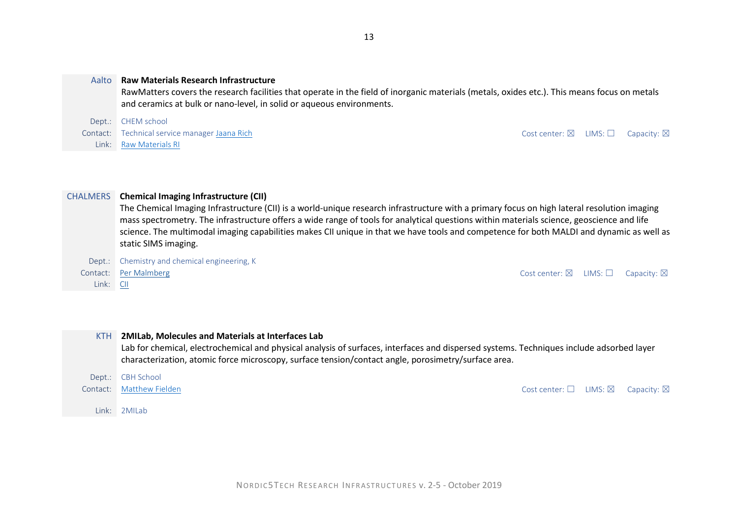#### Aalto **Raw Materials Research Infrastructure**

RawMatters covers the research facilities that operate in the field of inorganic materials (metals, oxides etc.). This means focus on metals and ceramics at bulk or nano-level, in solid or aqueous environments.

Dept.: CHEM school Contact: Technical service manage[r Jaana Rich](mailto:jaana.rich@aalto.fi) Cost center: ⊠ LIMS: □ Capacity: ⊠ Link: [Raw Materials RI](https://www.aalto.fi/en/research-and-learning-infrastructures/raw-materials-research-infrastructure)

#### CHALMERS **Chemical Imaging Infrastructure (CII)**

The Chemical Imaging Infrastructure (CII) is a world-unique research infrastructure with a primary focus on high lateral resolution imaging mass spectrometry. The infrastructure offers a wide range of tools for analytical questions within materials science, geoscience and life science. The multimodal imaging capabilities makes CII unique in that we have tools and competence for both MALDI and dynamic as well as static SIMS imaging.

Dept.: Chemistry and chemical engineering, K

Link: [CII](https://www.chalmers.se/en/researchinfrastructure/chemicalimaging/Pages/default.aspx)

Link: 2MILab

Contact: [Per Malmberg](https://www.chalmers.se/en/staff/Pages/malmper.aspx) Cost center: ⊠ LIMS: □ Capacity: ⊠

| <b>KTH</b> | 2MILab, Molecules and Materials at Interfaces Lab<br>Lab for chemical, electrochemical and physical analysis of surfaces, interfaces and dispersed systems. Techniques include adsorbed layer<br>characterization, atomic force microscopy, surface tension/contact angle, porosimetry/surface area. |                                                            |  |
|------------|------------------------------------------------------------------------------------------------------------------------------------------------------------------------------------------------------------------------------------------------------------------------------------------------------|------------------------------------------------------------|--|
|            | Dept.: CBH School                                                                                                                                                                                                                                                                                    |                                                            |  |
|            | Contact: Matthew Fielden                                                                                                                                                                                                                                                                             | Cost center: $\square$ LIMS: $\square$ Capacity: $\square$ |  |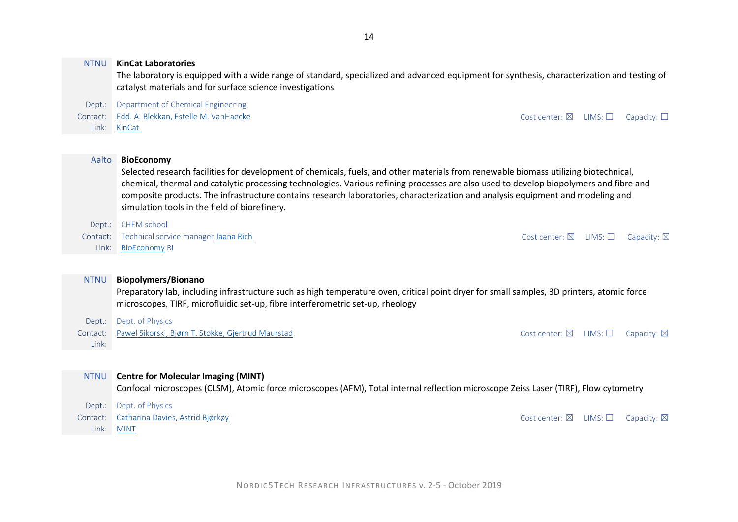|             | The laboratory is equipped with a wide range of standard, specialized and advanced equipment for synthesis, characterization and testing of<br>catalyst materials and for surface science investigations |                          |              |                       |  |
|-------------|----------------------------------------------------------------------------------------------------------------------------------------------------------------------------------------------------------|--------------------------|--------------|-----------------------|--|
| Dept.:      | Department of Chemical Engineering                                                                                                                                                                       |                          |              |                       |  |
| Contact:    | Edd. A. Blekkan, Estelle M. VanHaecke                                                                                                                                                                    | Cost center: $\boxtimes$ | $LIMS: \Box$ | Capacity: $\square$   |  |
| Link:       | KinCat                                                                                                                                                                                                   |                          |              |                       |  |
|             |                                                                                                                                                                                                          |                          |              |                       |  |
| Aalto       | <b>BioEconomy</b>                                                                                                                                                                                        |                          |              |                       |  |
|             | Selected research facilities for development of chemicals, fuels, and other materials from renewable biomass utilizing biotechnical,                                                                     |                          |              |                       |  |
|             | chemical, thermal and catalytic processing technologies. Various refining processes are also used to develop biopolymers and fibre and                                                                   |                          |              |                       |  |
|             | composite products. The infrastructure contains research laboratories, characterization and analysis equipment and modeling and                                                                          |                          |              |                       |  |
|             | simulation tools in the field of biorefinery.                                                                                                                                                            |                          |              |                       |  |
| Dept.:      | <b>CHEM</b> school                                                                                                                                                                                       |                          |              |                       |  |
| Contact:    | Technical service manager Jaana Rich                                                                                                                                                                     | Cost center: $\boxtimes$ | LIMS:        | Capacity: $\boxtimes$ |  |
| Link:       | <b>BioEconomy RI</b>                                                                                                                                                                                     |                          |              |                       |  |
|             |                                                                                                                                                                                                          |                          |              |                       |  |
| <b>NTNU</b> | <b>Biopolymers/Bionano</b>                                                                                                                                                                               |                          |              |                       |  |
|             | Preparatory lab, including infrastructure such as high temperature oven, critical point dryer for small samples, 3D printers, atomic force                                                               |                          |              |                       |  |
|             | microscopes, TIRF, microfluidic set-up, fibre interferometric set-up, rheology                                                                                                                           |                          |              |                       |  |
| Dept.:      | Dept. of Physics                                                                                                                                                                                         |                          |              |                       |  |
| Contact:    | Pawel Sikorski, Bjørn T. Stokke, Gjertrud Maurstad                                                                                                                                                       | Cost center: $\boxtimes$ | LIMS:        | Capacity: $\boxtimes$ |  |
| Link:       |                                                                                                                                                                                                          |                          |              |                       |  |
|             |                                                                                                                                                                                                          |                          |              |                       |  |
| <b>NTNU</b> | <b>Centre for Molecular Imaging (MINT)</b>                                                                                                                                                               |                          |              |                       |  |

Confocal microscopes (CLSM), Atomic force microscopes (AFM), Total internal reflection microscope Zeiss Laser (TIRF), Flow cytometry

| Dept.: Dept. of Physics                   |                                                                |  |
|-------------------------------------------|----------------------------------------------------------------|--|
| Contact: Catharina Davies, Astrid Biørkøy | Cost center: $\boxtimes$ LIMS: $\square$ Capacity: $\boxtimes$ |  |
| Link: MINT                                |                                                                |  |

NTNU **KinCat Laboratories**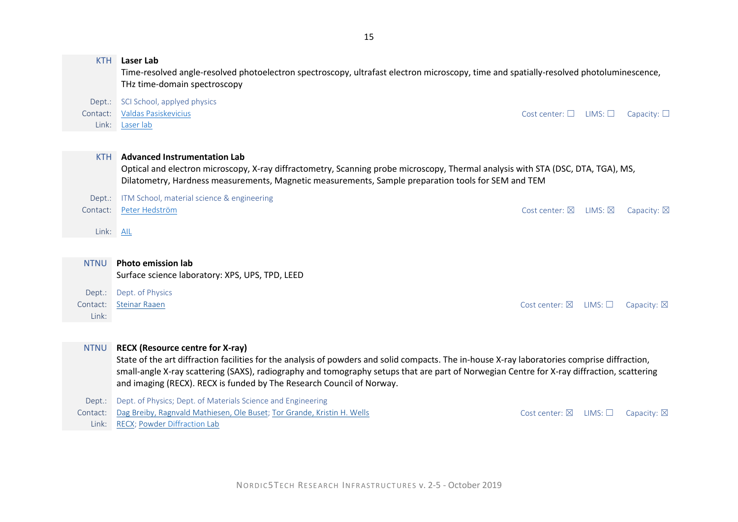#### KTH **Laser Lab**

Time-resolved angle-resolved photoelectron spectroscopy, ultrafast electron microscopy, time and spatially-resolved photoluminescence, THz time-domain spectroscopy

Dept.: SCI School, applyed physics

Link: [Laser lab](https://www.aphys.kth.se/kth-laser-lab)

Contact: [Valdas Pasiskevicius](mailto:vp@laserphysics.kth.se) Contact: Capacity: □ Cost center: □ LIMS: □ Capacity: □

#### KTH **Advanced Instrumentation Lab**

Optical and electron microscopy, X-ray diffractometry, Scanning probe microscopy, Thermal analysis with STA (DSC, DTA, TGA), MS, Dilatometry, Hardness measurements, Magnetic measurements, Sample preparation tools for SEM and TEM

|           | Dept.: ITM School, material science & engineering |                                                                  |  |
|-----------|---------------------------------------------------|------------------------------------------------------------------|--|
|           | Contact: Peter Hedström                           | Cost center: $\boxtimes$ LIMS: $\boxtimes$ Capacity: $\boxtimes$ |  |
|           |                                                   |                                                                  |  |
| Link: AIL |                                                   |                                                                  |  |
|           |                                                   |                                                                  |  |
|           |                                                   |                                                                  |  |
|           |                                                   |                                                                  |  |

NTNU **Photo emission lab** Surface science laboratory: XPS, UPS, TPD, LEED

Dept.: Dept. of Physics Contact: [Steinar Raaen](mailto:steinar.raaen@ntnu.no) Cost center: ⊠ LIMS: □ Capacity: ⊠ Link:

#### NTNU **RECX (Resource centre for X-ray)**

State of the art diffraction facilities for the analysis of powders and solid compacts. The in-house X-ray laboratories comprise diffraction, small-angle X-ray scattering (SAXS), radiography and tomography setups that are part of Norwegian Centre for X-ray diffraction, scattering and imaging (RECX). RECX is funded by The Research Council of Norway.

Dept.: Dept. of Physics; Dept. of Materials Science and Engineering

Contact: [Dag Breiby, Ragnvald Mathiesen, Ole Buset;](mailto:dag.breiby@ntnu.no;%20ragnvald.mathiesen@ntnu.no;%20ole.buset@ntnu.no) [Tor Grande, Kristin H. Wells](mailto:state%20of%20the%20art%20diffraction%20facilities%20for%20the%20analysis%20of%20powders%20and%20solid%20compacts) Cost Cost Center: ⊠ LIMS: □ Capacity: ⊠ Link: [RECX;](http://www.recx.no/) Powder [Diffraction](https://www.ntnu.edu/ima/research/labs/powder-diffraction-lab) Lab

NORDIC5TECH RESEARCH INFRASTRUCTURES v. 2-5 - October 2019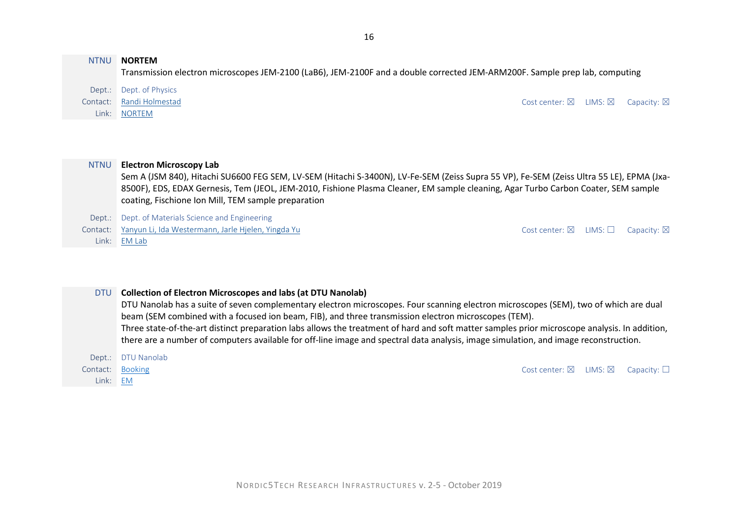#### NTNU **NORTEM**

Transmission electron microscopes JEM-2100 (LaB6), JEM-2100F and a double corrected JEM-ARM200F. Sample prep lab, computing

Dept.: Dept. of Physics

Link: [NORTEM](http://www.ntnu.edu/physics/temgemini)

Contact: [Randi Holmestad](mailto:randi.holmestad@ntnu.no) Cost center: ⊠ LIMS: ⊠ Capacity: ⊠

#### NTNU **Electron Microscopy Lab**

Sem A (JSM 840), Hitachi SU6600 FEG SEM, LV-SEM (Hitachi S-3400N), LV-Fe-SEM (Zeiss Supra 55 VP), Fe-SEM (Zeiss Ultra 55 LE), EPMA (Jxa-8500F), EDS, EDAX Gernesis, Tem (JEOL, JEM-2010, Fishione Plasma Cleaner, EM sample cleaning, Agar Turbo Carbon Coater, SEM sample coating, Fischione Ion Mill, TEM sample preparation

Dept.: Dept. of Materials Science and Engineering

Contact: [Yanyun Li, Ida Westermann, Jarle Hjelen, Yingda Yu](mailto:yanjun.li@ntnu.no;%20ida.westermann@ntnu.no%20jarle.hjelen@ntnu.no;%20yingda.yu@ntnu.no) Contact: ⊠ LIMS: □ Capacity: ⊠

Link: [EM Lab](https://www.ntnu.edu/ima/research/emlab)

#### DTU **Collection of Electron Microscopes and labs (at DTU Nanolab)**

DTU Nanolab has a suite of seven complementary electron microscopes. Four scanning electron microscopes (SEM), two of which are dual beam (SEM combined with a focused ion beam, FIB), and three transmission electron microscopes (TEM). Three state-of-the-art distinct preparation labs allows the treatment of hard and soft matter samples prior microscope analysis. In addition, there are a number of computers available for off-line image and spectral data analysis, image simulation, and image reconstruction.

Dept.: DTU Nanolab Link: [EM](https://www.nanolab.dtu.dk/MIKROSKOPER/Microscopes)

Contact: [Booking](https://www.nanolab.dtu.dk/mikroskoper/use-of-our-facilities) Cost center: ⊠ LIMS: ⊠ Capacity: □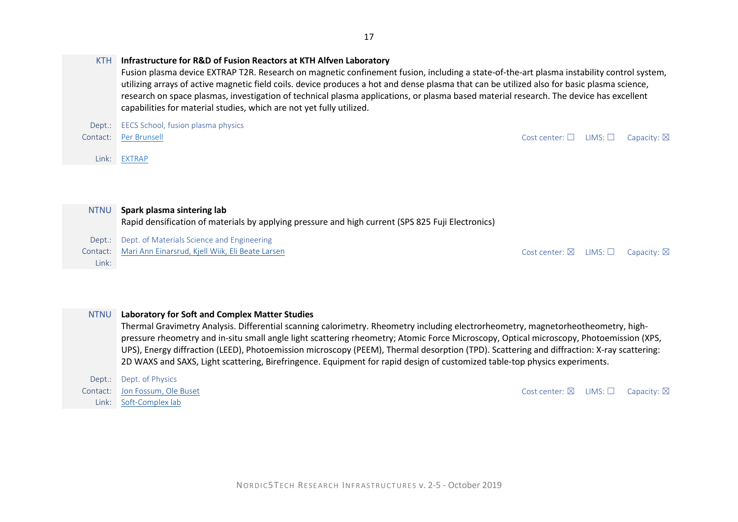|             | capabilities for material studies, which are not yet fully utilized.                              |                          |                 |                       |
|-------------|---------------------------------------------------------------------------------------------------|--------------------------|-----------------|-----------------------|
| Dept.:      | EECS School, fusion plasma physics                                                                |                          |                 |                       |
| Contact:    | Per Brunsell                                                                                      | Cost center: $\square$   | LIMS:           | Capacity: $\boxtimes$ |
| Link: I     | <b>EXTRAP</b>                                                                                     |                          |                 |                       |
|             |                                                                                                   |                          |                 |                       |
|             |                                                                                                   |                          |                 |                       |
| <b>NTNU</b> | Spark plasma sintering lab                                                                        |                          |                 |                       |
|             | Rapid densification of materials by applying pressure and high current (SPS 825 Fuji Electronics) |                          |                 |                       |
| Dept.:      | Dept. of Materials Science and Engineering                                                        |                          |                 |                       |
| Contact:    | Mari Ann Einarsrud, Kjell Wiik, Eli Beate Larsen                                                  | Cost center: $\boxtimes$ | LIMS: $\square$ | Capacity: $\boxtimes$ |

#### NTNU **Laboratory for Soft and Complex Matter Studies**

KTH **Infrastructure for R&D of Fusion Reactors at KTH Alfven Laboratory**

Thermal Gravimetry Analysis. Differential scanning calorimetry. Rheometry including electrorheometry, magnetorheotheometry, highpressure rheometry and in-situ small angle light scattering rheometry; Atomic Force Microscopy, Optical microscopy, Photoemission (XPS, UPS), Energy diffraction (LEED), Photoemission microscopy (PEEM), Thermal desorption (TPD). Scattering and diffraction: X-ray scattering: 2D WAXS and SAXS, Light scattering, Birefringence. Equipment for rapid design of customized table-top physics experiments.

Dept.: Dept. of Physics Link: [Soft-Complex lab](https://www.ntnu.edu/physics/research/soft-complex#/view/about)

Link:

Contact: [Jon Fossum, Ole Buset](mailto:jon.fossum@ntnu.no;%20ole.buset@ntnu.no) Cost center: ⊠ LIMS: □ Capacity: ⊠

Fusion plasma device EXTRAP T2R. Research on magnetic confinement fusion, including a state-of-the-art plasma instability control system, utilizing arrays of active magnetic field coils. device produces a hot and dense plasma that can be utilized also for basic plasma science, research on space plasmas, investigation of technical plasma applications, or plasma based material research. The device has excellent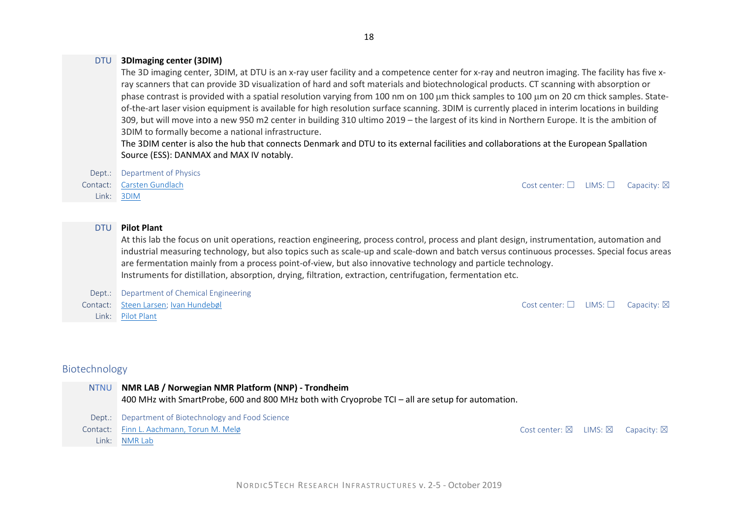# DTU **3DImaging center (3DIM)**

The 3D imaging center, 3DIM, at DTU is an x-ray user facility and a competence center for x-ray and neutron imaging. The facility has five xray scanners that can provide 3D visualization of hard and soft materials and biotechnological products. CT scanning with absorption or phase contrast is provided with a spatial resolution varying from 100 nm on 100 µm thick samples to 100 µm on 20 cm thick samples. Stateof-the-art laser vision equipment is available for high resolution surface scanning. 3DIM is currently placed in interim locations in building 309, but will move into a new 950 m2 center in building 310 ultimo 2019 – the largest of its kind in Northern Europe. It is the ambition of 3DIM to formally become a national infrastructure.

The 3DIM center is also the hub that connects Denmark and DTU to its external facilities and collaborations at the European Spallation Source (ESS): DANMAX and MAX IV notably.

Dept.: Department of Physics Link: [3DIM](http://www.imaging.dtu.dk/academic-users/what-is-3dim)

Contact: [Carsten Gundlach](mailto:cagu@fysik.dtu.dk) Cost center: □ LIMS: □ Capacity: ⊠

# DTU **Pilot Plant**

At this lab the focus on unit operations, reaction engineering, process control, process and plant design, instrumentation, automation and industrial measuring technology, but also topics such as scale-up and scale-down and batch versus continuous processes. Special focus areas are fermentation mainly from a process point-of-view, but also innovative technology and particle technology. Instruments for distillation, absorption, drying, filtration, extraction, centrifugation, fermentation etc.

Dept.: Department of Chemical Engineering Contact: [Steen Larsen;](mailto:stelar@kt.dtu.dk) [Ivan Hundebøl](mailto:ihun@kt.dtu.dk) Cost center: □ LIMS: □ Capacity: ⊠ Link: [Pilot Plant](https://www.kt.dtu.dk/english/research/pilot-plant/facilities)

# Biotechnology

#### NTNU **NMR LAB / Norwegian NMR Platform (NNP) - Trondheim**

400 MHz with SmartProbe, 600 and 800 MHz both with Cryoprobe TCI – all are setup for automation.

Dept.: Department of Biotechnology and Food Science

Contact: [Finn L. Aachmann, Torun M. Melø](mailto:finn.l.aachmann@ntnu.no;%20%20torun.m.melo@ntnu.no) Cost center: ⊠ LIMS: ⊠ Capacity: ⊠

Link: [NMR Lab](https://www.ntnu.edu/nmr)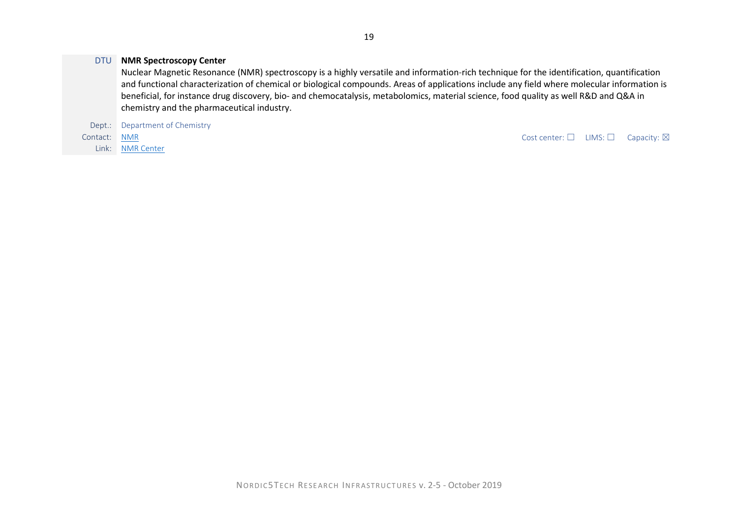#### DTU **NMR Spectroscopy Center**

Nuclear Magnetic Resonance (NMR) spectroscopy is a highly versatile and information-rich technique for the identification, quantification and functional characterization of chemical or biological compounds. Areas of applications include any field where molecular information is beneficial, for instance drug discovery, bio- and chemocatalysis, metabolomics, material science, food quality as well R&D and Q&A in chemistry and the pharmaceutical industry.

Dept.: Department of Chemistry

Link: [NMR Center](http://www.nmrcenter.kemi.dtu.dk/english/research)

Contact: [NMR](mailto:nmr@dtu.dk) Contact: NMR Contact: NMR Contact: O LIMS: □ Capacity: ⊠